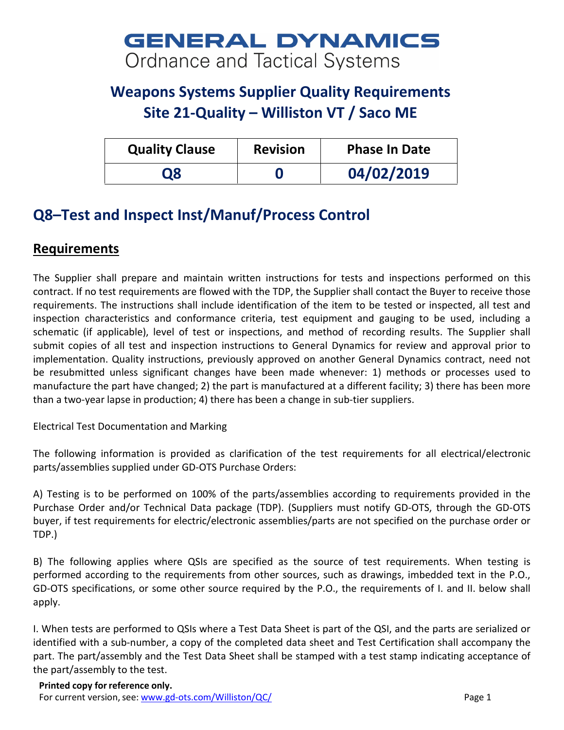## **GENERAL DYNAMICS** Ordnance and Tactical Systems

## **Weapons Systems Supplier Quality Requirements Site 21-Quality – Williston VT / Saco ME**

| <b>Quality Clause</b> | <b>Revision</b> | <b>Phase In Date</b> |
|-----------------------|-----------------|----------------------|
| Ο8                    |                 | 04/02/2019           |

## **Q8–Test and Inspect Inst/Manuf/Process Control**

## **Requirements**

The Supplier shall prepare and maintain written instructions for tests and inspections performed on this contract. If no test requirements are flowed with the TDP, the Supplier shall contact the Buyer to receive those requirements. The instructions shall include identification of the item to be tested or inspected, all test and inspection characteristics and conformance criteria, test equipment and gauging to be used, including a schematic (if applicable), level of test or inspections, and method of recording results. The Supplier shall submit copies of all test and inspection instructions to General Dynamics for review and approval prior to implementation. Quality instructions, previously approved on another General Dynamics contract, need not be resubmitted unless significant changes have been made whenever: 1) methods or processes used to manufacture the part have changed; 2) the part is manufactured at a different facility; 3) there has been more than a two-year lapse in production; 4) there has been a change in sub-tier suppliers.

Electrical Test Documentation and Marking

The following information is provided as clarification of the test requirements for all electrical/electronic parts/assemblies supplied under GD-OTS Purchase Orders:

A) Testing is to be performed on 100% of the parts/assemblies according to requirements provided in the Purchase Order and/or Technical Data package (TDP). (Suppliers must notify GD-OTS, through the GD-OTS buyer, if test requirements for electric/electronic assemblies/parts are not specified on the purchase order or TDP.)

B) The following applies where QSIs are specified as the source of test requirements. When testing is performed according to the requirements from other sources, such as drawings, imbedded text in the P.O., GD-OTS specifications, or some other source required by the P.O., the requirements of I. and II. below shall apply.

I. When tests are performed to QSIs where a Test Data Sheet is part of the QSI, and the parts are serialized or identified with a sub-number, a copy of the completed data sheet and Test Certification shall accompany the part. The part/assembly and the Test Data Sheet shall be stamped with a test stamp indicating acceptance of the part/assembly to the test.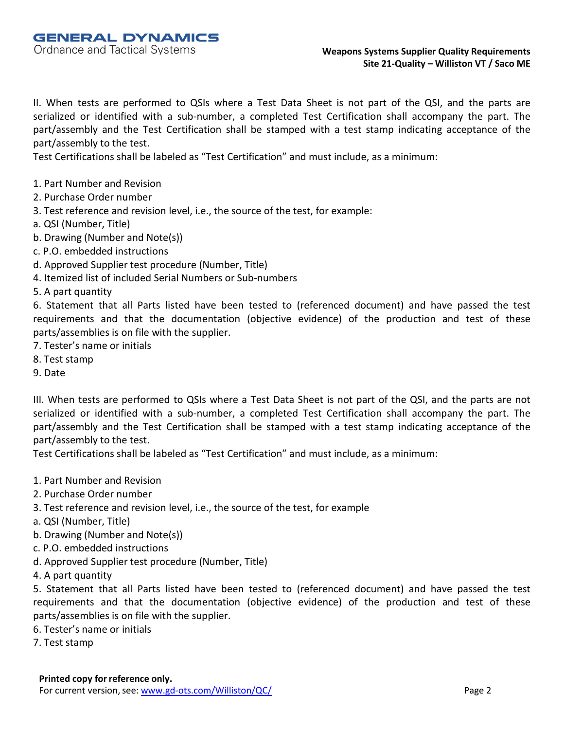II. When tests are performed to QSIs where a Test Data Sheet is not part of the QSI, and the parts are serialized or identified with a sub-number, a completed Test Certification shall accompany the part. The part/assembly and the Test Certification shall be stamped with a test stamp indicating acceptance of the part/assembly to the test.

Test Certifications shall be labeled as "Test Certification" and must include, as a minimum:

- 1. Part Number and Revision
- 2. Purchase Order number
- 3. Test reference and revision level, i.e., the source of the test, for example:
- a. QSI (Number, Title)
- b. Drawing (Number and Note(s))
- c. P.O. embedded instructions
- d. Approved Supplier test procedure (Number, Title)
- 4. Itemized list of included Serial Numbers or Sub-numbers
- 5. A part quantity

6. Statement that all Parts listed have been tested to (referenced document) and have passed the test requirements and that the documentation (objective evidence) of the production and test of these parts/assemblies is on file with the supplier.

- 7. Tester's name or initials
- 8. Test stamp
- 9. Date

III. When tests are performed to QSIs where a Test Data Sheet is not part of the QSI, and the parts are not serialized or identified with a sub-number, a completed Test Certification shall accompany the part. The part/assembly and the Test Certification shall be stamped with a test stamp indicating acceptance of the part/assembly to the test.

Test Certifications shall be labeled as "Test Certification" and must include, as a minimum:

- 1. Part Number and Revision
- 2. Purchase Order number
- 3. Test reference and revision level, i.e., the source of the test, for example
- a. QSI (Number, Title)
- b. Drawing (Number and Note(s))
- c. P.O. embedded instructions
- d. Approved Supplier test procedure (Number, Title)
- 4. A part quantity

5. Statement that all Parts listed have been tested to (referenced document) and have passed the test requirements and that the documentation (objective evidence) of the production and test of these parts/assemblies is on file with the supplier.

- 6. Tester's name or initials
- 7. Test stamp